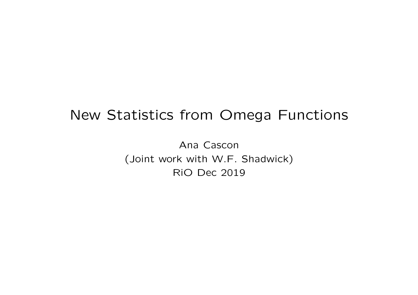## New Statistics from Omega Functions

Ana Cascon (Joint work with W.F. Shadwick) RiO Dec 2019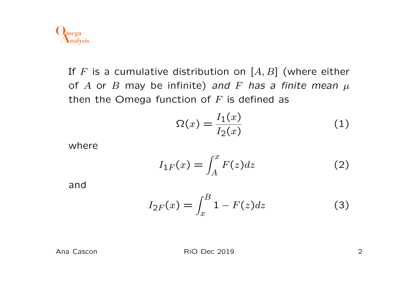

If *F* is a cumulative distribution on [*A, B*] (where either of A or B may be infinite) and F has a finite mean  $\mu$ then the Omega function of *F* is defined as

$$
\Omega(x) = \frac{I_1(x)}{I_2(x)}\tag{1}
$$

where

$$
I_{1F}(x) = \int_{A}^{x} F(z)dz
$$
 (2)

and

$$
I_{2F}(x) = \int_{x}^{B} 1 - F(z)dz
$$
 (3)

RIO Dec 2019 2019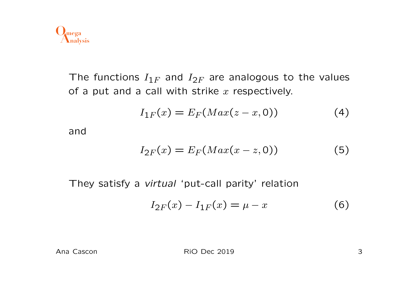

The functions  $I_{1F}$  and  $I_{2F}$  are analogous to the values of a put and a call with strike *x* respectively.

$$
I_{1F}(x) = E_F(Max(z - x, 0))
$$
 (4)

and

$$
I_{2F}(x) = E_F(Max(x-z,0))
$$
 (5)

They satisfy a *virtual* 'put-call parity' relation

$$
I_{2F}(x) - I_{1F}(x) = \mu - x \tag{6}
$$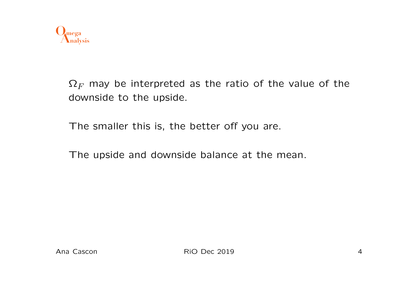

 $\Omega_F$  may be interpreted as the ratio of the value of the downside to the upside.

The smaller this is, the better off you are.

The upside and downside balance at the mean.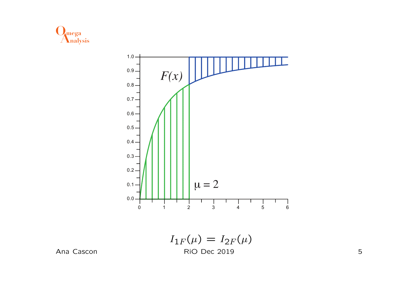



Ana Cascon

5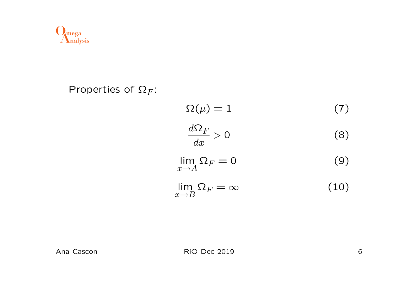

Properties of  $\Omega_F$ :

$$
\Omega(\mu) = 1 \tag{7}
$$

$$
\frac{d\Omega_F}{dx} > 0\tag{8}
$$

$$
\lim_{x \to A} \Omega_F = 0 \tag{9}
$$

$$
\lim_{x \to B} \Omega_F = \infty \tag{10}
$$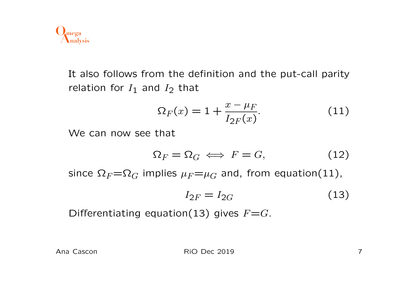

It also follows from the definition and the put-call parity relation for  $I_1$  and  $I_2$  that

$$
\Omega_F(x) = 1 + \frac{x - \mu_F}{I_{2F}(x)}.
$$
 (11)

We can now see that

$$
\Omega_F = \Omega_G \iff F = G,\tag{12}
$$

since  $\Omega_F = \Omega_G$  implies  $\mu_F = \mu_G$  and, from equation(11),

$$
I_{2F} = I_{2G} \tag{13}
$$

Differentiating equation(13) gives  $F=$ *G*.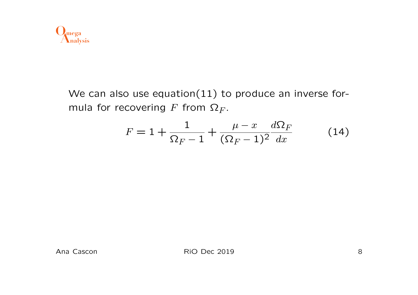

We can also use equation(11) to produce an inverse formula for recovering  $F$  from  $\Omega_F$ .

$$
F = 1 + \frac{1}{\Omega_F - 1} + \frac{\mu - x}{(\Omega_F - 1)^2} \frac{d\Omega_F}{dx}
$$
 (14)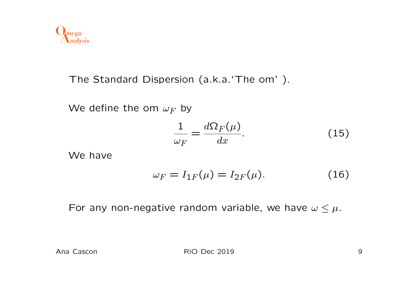

The Standard Dispersion (a.k.a.'The om' ).

We define the om  $\omega_F$  by

$$
\frac{1}{\omega_F} = \frac{d\Omega_F(\mu)}{dx}.
$$
\n(15)

We have

$$
\omega_F = I_{1F}(\mu) = I_{2F}(\mu). \tag{16}
$$

For any non-negative random variable, we have  $\omega \leq \mu$ .

RIO Dec 2019 9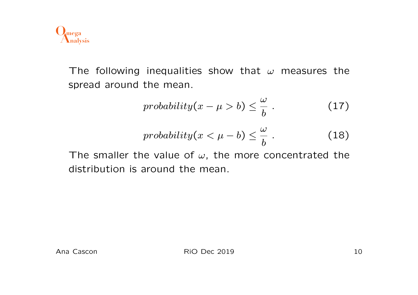

The following inequalities show that  $\omega$  measures the spread around the mean.

$$
probability(x - \mu > b) \leq \frac{\omega}{b}.
$$
 (17)

$$
probability(x < \mu - b) \leq \frac{\omega}{b}.
$$
 (18)

The smaller the value of  $\omega$ , the more concentrated the distribution is around the mean.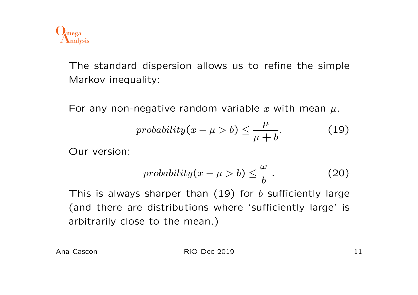

The standard dispersion allows us to refine the simple Markov inequality:

For any non-negative random variable x with mean  $\mu$ ,

$$
probability(x - \mu > b) \le \frac{\mu}{\mu + b}.\tag{19}
$$

Our version:

$$
probability(x - \mu > b) \leq \frac{\omega}{b}.
$$
 (20)

This is always sharper than (19) for *b* sufficiently large (and there are distributions where 'sufficiently large' is arbitrarily close to the mean.)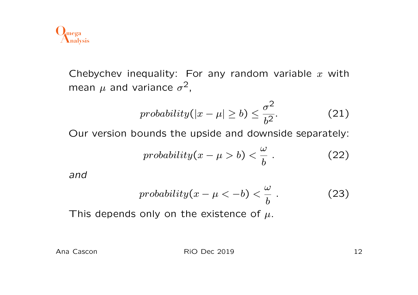

Chebychev inequality: For any random variable *x* with mean  $\mu$  and variance  $\sigma^2$ ,

$$
probability(|x - \mu| \ge b) \le \frac{\sigma^2}{b^2}.
$$
 (21)

Our version bounds the upside and downside separately:

$$
probability(x - \mu > b) < \frac{\omega}{b}.
$$
 (22)

*and*

$$
probability(x - \mu < -b) < \frac{\omega}{b}.
$$
 (23)

This depends only on the existence of *µ*.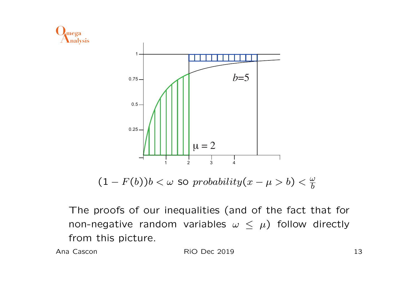

 $(1 - F(b))b < \omega$  so probability $(x - \mu > b) < \frac{\omega}{b}$ 

The proofs of our inequalities (and of the fact that for non-negative random variables  $\omega \leq \mu$ ) follow directly from this picture.

Ana Cascon

**RiO Dec 2019**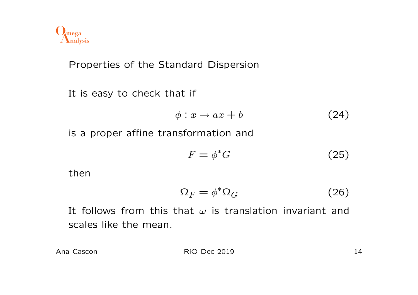

Properties of the Standard Dispersion

It is easy to check that if

$$
\phi: x \to ax + b \tag{24}
$$

is a proper affine transformation and

$$
F = \phi^* G \tag{25}
$$

then

$$
\Omega_F = \phi^* \Omega_G \tag{26}
$$

It follows from this that  $\omega$  is translation invariant and scales like the mean.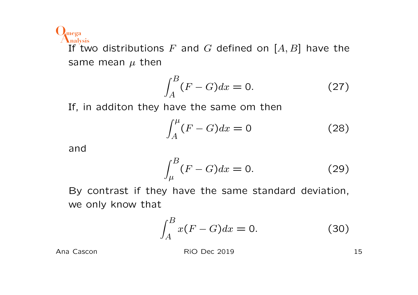**Analysis Omega**

If two distributions *F* and *G* defined on [*A, B*] have the same mean  $\mu$  then

$$
\int_{A}^{B} (F - G) dx = 0. \tag{27}
$$

If, in additon they have the same om then

$$
\int_{A}^{\mu} (F - G) dx = 0 \tag{28}
$$

and

$$
\int_{\mu}^{B} (F - G) dx = 0. \tag{29}
$$

By contrast if they have the same standard deviation, we only know that

$$
\int_{A}^{B} x(F - G)dx = 0.
$$
 (30)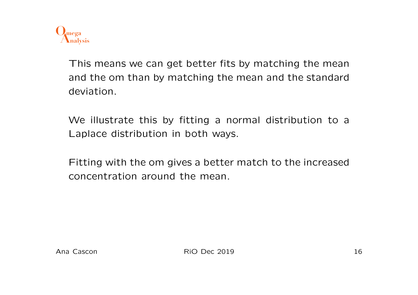

This means we can get better fits by matching the mean and the om than by matching the mean and the standard deviation.

We illustrate this by fitting a normal distribution to a Laplace distribution in both ways.

Fitting with the om gives a better match to the increased concentration around the mean.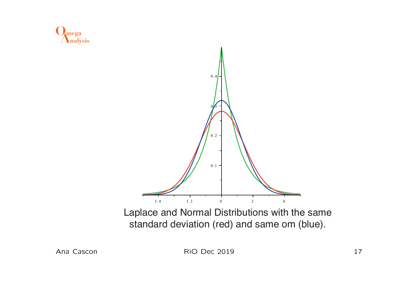

standard deviation (red) and same om (blue).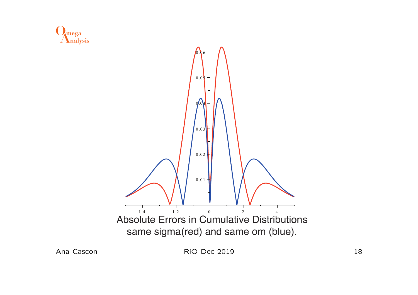



Ana Cascon

RiO Dec 2019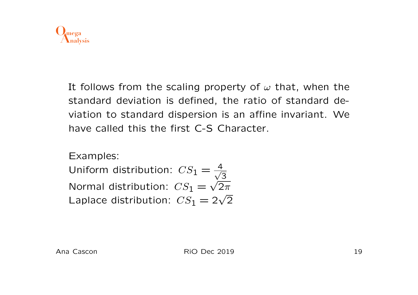

It follows from the scaling property of  $\omega$  that, when the standard deviation is defined, the ratio of standard deviation to standard dispersion is an affine invariant. We have called this the first C-S Character.

Examples:

Uniform distribution:  $CS_1 = \frac{4}{\sqrt{2}}$ 3 Normal distribution:  $CS_1 = \sqrt{2\pi}$ Laplace distribution:  $CS_1 = 2\sqrt{2}$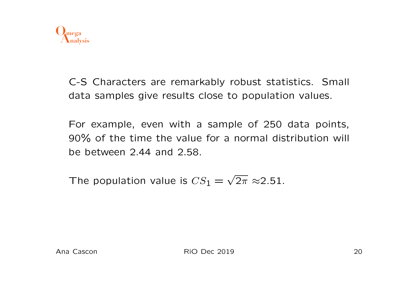

C-S Characters are remarkably robust statistics. Small data samples give results close to population values.

For example, even with a sample of 250 data points, 90% of the time the value for a normal distribution will be between 2*.*44 and 2*.*58.

The population value is  $CS_1 = \sqrt{2\pi} \approx 2.51$ .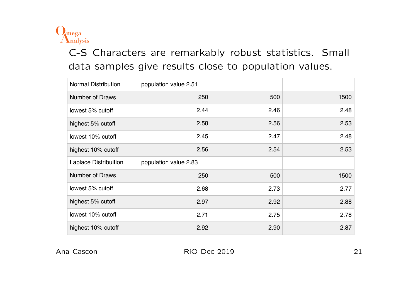

C-S Characters are remarkably robust statistics. Small data samples give results close to population values.

| <b>Normal Distribution</b>   | population value 2.51 |      |      |
|------------------------------|-----------------------|------|------|
| <b>Number of Draws</b>       | 250                   | 500  | 1500 |
| lowest 5% cutoff             | 2.44                  | 2.46 | 2.48 |
| highest 5% cutoff            | 2.58                  | 2.56 | 2.53 |
| lowest 10% cutoff            | 2.45                  | 2.47 | 2.48 |
| highest 10% cutoff           | 2.56                  | 2.54 | 2.53 |
|                              |                       |      |      |
| <b>Laplace Distribuition</b> | population value 2.83 |      |      |
| <b>Number of Draws</b>       | 250                   | 500  | 1500 |
| lowest 5% cutoff             | 2.68                  | 2.73 | 2.77 |
| highest 5% cutoff            | 2.97                  | 2.92 | 2.88 |
| lowest 10% cutoff            | 2.71                  | 2.75 | 2.78 |

Population Cascon Contract for a Normal distribution is 2.51 and for a Laplace distribution is 2.83 Ana Cascon **RiO Dec 2019** 21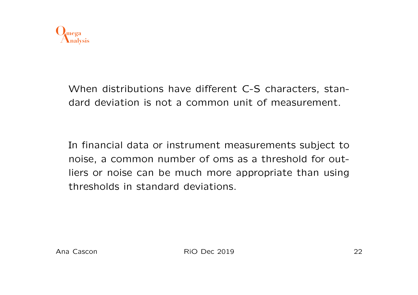

When distributions have different C-S characters, standard deviation is not a common unit of measurement.

In financial data or instrument measurements subject to noise, a common number of oms as a threshold for outliers or noise can be much more appropriate than using thresholds in standard deviations.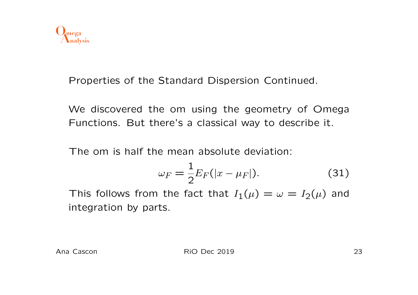

Properties of the Standard Dispersion Continued.

We discovered the om using the geometry of Omega Functions. But there's a classical way to describe it.

The om is half the mean absolute deviation:

$$
\omega_F = \frac{1}{2} E_F(|x - \mu_F|). \tag{31}
$$

This follows from the fact that  $I_1(\mu) = \omega = I_2(\mu)$  and integration by parts.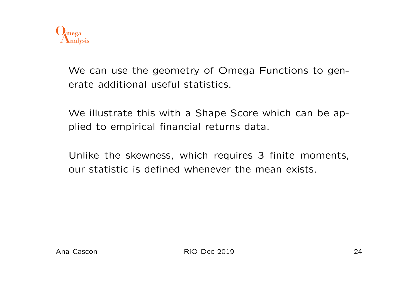

We can use the geometry of Omega Functions to generate additional useful statistics.

We illustrate this with a Shape Score which can be applied to empirical financial returns data.

Unlike the skewness, which requires 3 finite moments, our statistic is defined whenever the mean exists.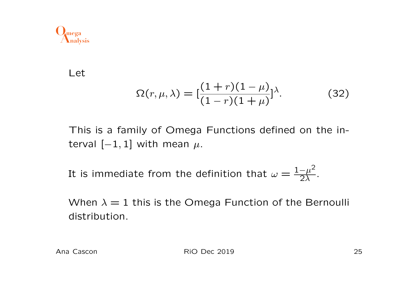

Let

$$
\Omega(r,\mu,\lambda) = \left[\frac{(1+r)(1-\mu)}{(1-r)(1+\mu)}\right] \lambda.
$$
 (32)

This is a family of Omega Functions defined on the interval  $[-1, 1]$  with mean  $\mu$ .

It is immediate from the definition that  $\omega = \frac{1-\mu^2}{2\lambda}$  $\frac{-\mu^-}{2\lambda}$ .

When  $\lambda = 1$  this is the Omega Function of the Bernoulli distribution.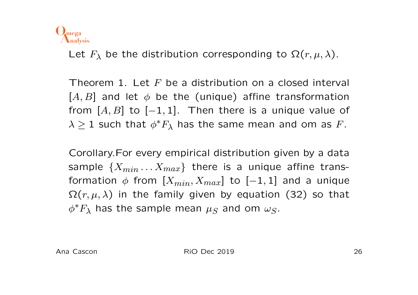

Let  $F_{\lambda}$  be the distribution corresponding to  $\Omega(r,\mu,\lambda)$ .

Theorem 1. Let *F* be a distribution on a closed interval  $[A, B]$  and let  $\phi$  be the (unique) affine transformation from  $[A, B]$  to  $[-1, 1]$ . Then there is a unique value of  $\lambda \geq 1$  such that  $\phi^* F_\lambda$  has the same mean and om as F.

Corollary.For every empirical distribution given by a data sample  $\{X_{min} \ldots X_{max}\}\$  there is a unique affine transformation  $\phi$  from  $[X_{min}, X_{max}]$  to  $[-1, 1]$  and a unique  $\Omega(r, \mu, \lambda)$  in the family given by equation (32) so that  $\phi^*F_\lambda$  has the sample mean  $\mu$ <sub>S</sub> and om  $\omega$ <sub>S</sub>.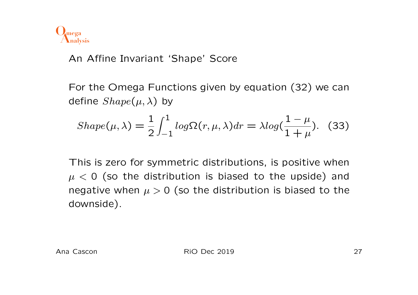

## An Affine Invariant 'Shape' Score

For the Omega Functions given by equation (32) we can define  $Shape(\mu, \lambda)$  by

$$
Shape(\mu, \lambda) = \frac{1}{2} \int_{-1}^{1} log \Omega(r, \mu, \lambda) dr = \lambda log(\frac{1 - \mu}{1 + \mu}).
$$
 (33)

This is zero for symmetric distributions, is positive when  $\mu$  < 0 (so the distribution is biased to the upside) and negative when  $\mu > 0$  (so the distribution is biased to the downside).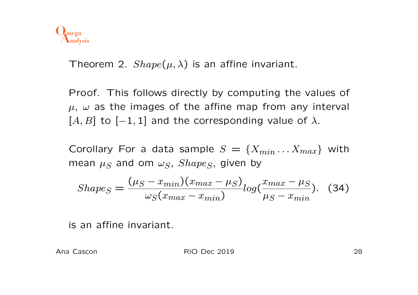

Theorem 2.  $Shape(\mu, \lambda)$  is an affine invariant.

Proof. This follows directly by computing the values of  $\mu$ ,  $\omega$  as the images of the affine map from any interval  $[A, B]$  to  $[-1, 1]$  and the corresponding value of  $\lambda$ .

Corollary For a data sample  $S = \{X_{min} \dots X_{max}\}\$  with mean  $\mu_S$  and om  $\omega_S$ , *Shape<sub>S</sub>*, given by

$$
Shape_S = \frac{(\mu_S - x_{min})(x_{max} - \mu_S)}{\omega_S(x_{max} - x_{min})} log(\frac{x_{max} - \mu_S}{\mu_S - x_{min}}). \quad (34)
$$

is an affine invariant.